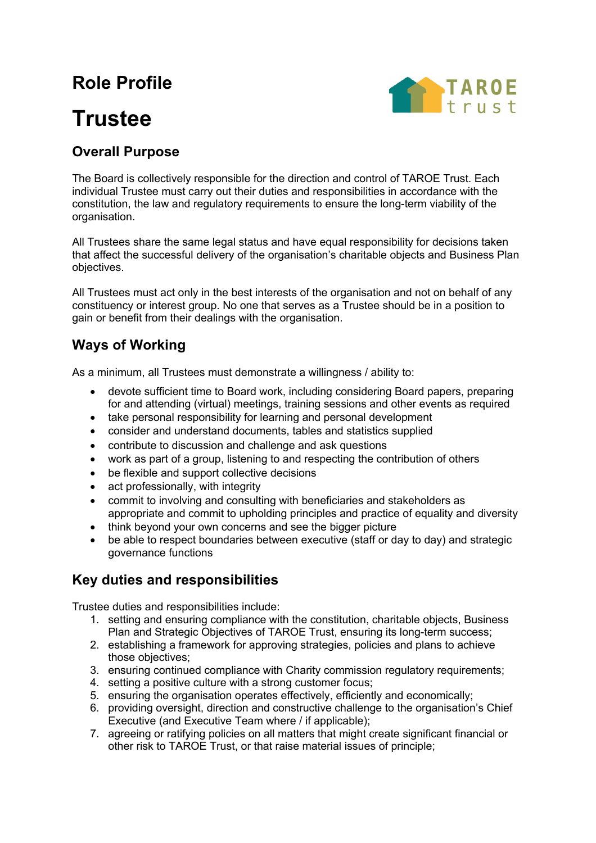## **Role Profile**

# **Trustee**



## **Overall Purpose**

The Board is collectively responsible for the direction and control of TAROE Trust. Each individual Trustee must carry out their duties and responsibilities in accordance with the constitution, the law and regulatory requirements to ensure the long-term viability of the organisation.

All Trustees share the same legal status and have equal responsibility for decisions taken that affect the successful delivery of the organisation's charitable objects and Business Plan objectives.

All Trustees must act only in the best interests of the organisation and not on behalf of any constituency or interest group. No one that serves as a Trustee should be in a position to gain or benefit from their dealings with the organisation.

## **Ways of Working**

As a minimum, all Trustees must demonstrate a willingness / ability to:

- devote sufficient time to Board work, including considering Board papers, preparing for and attending (virtual) meetings, training sessions and other events as required
- take personal responsibility for learning and personal development
- consider and understand documents, tables and statistics supplied
- contribute to discussion and challenge and ask questions
- work as part of a group, listening to and respecting the contribution of others
- be flexible and support collective decisions
- act professionally, with integrity
- commit to involving and consulting with beneficiaries and stakeholders as appropriate and commit to upholding principles and practice of equality and diversity
- think beyond your own concerns and see the bigger picture
- be able to respect boundaries between executive (staff or day to day) and strategic governance functions

### **Key duties and responsibilities**

Trustee duties and responsibilities include:

- 1. setting and ensuring compliance with the constitution, charitable objects, Business Plan and Strategic Objectives of TAROE Trust, ensuring its long-term success;
- 2. establishing a framework for approving strategies, policies and plans to achieve those objectives;
- 3. ensuring continued compliance with Charity commission regulatory requirements;
- 4. setting a positive culture with a strong customer focus;
- 5. ensuring the organisation operates effectively, efficiently and economically;
- 6. providing oversight, direction and constructive challenge to the organisation's Chief Executive (and Executive Team where / if applicable);
- 7. agreeing or ratifying policies on all matters that might create significant financial or other risk to TAROE Trust, or that raise material issues of principle;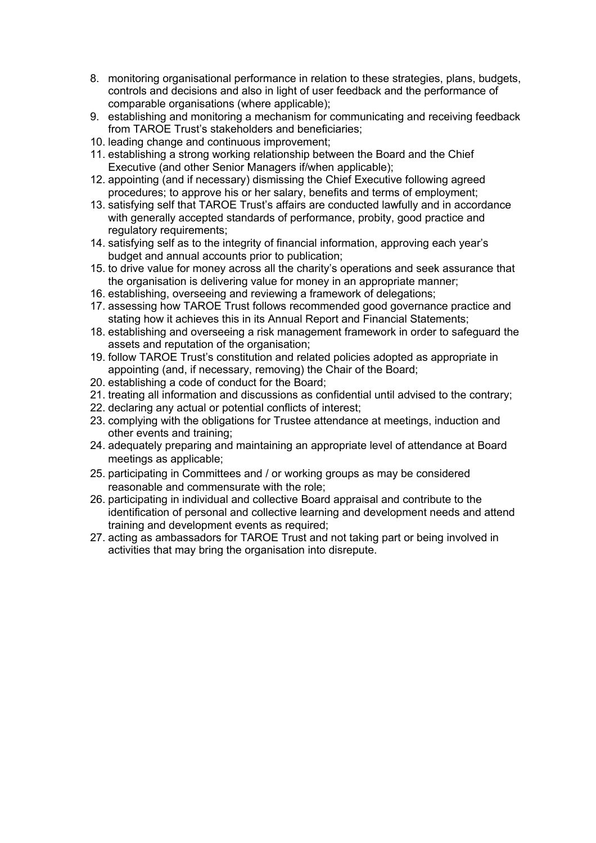- 8. monitoring organisational performance in relation to these strategies, plans, budgets, controls and decisions and also in light of user feedback and the performance of comparable organisations (where applicable);
- 9. establishing and monitoring a mechanism for communicating and receiving feedback from TAROE Trust's stakeholders and beneficiaries;
- 10. leading change and continuous improvement;
- 11. establishing a strong working relationship between the Board and the Chief Executive (and other Senior Managers if/when applicable);
- 12. appointing (and if necessary) dismissing the Chief Executive following agreed procedures; to approve his or her salary, benefits and terms of employment;
- 13. satisfying self that TAROE Trust's affairs are conducted lawfully and in accordance with generally accepted standards of performance, probity, good practice and regulatory requirements;
- 14. satisfying self as to the integrity of financial information, approving each year's budget and annual accounts prior to publication;
- 15. to drive value for money across all the charity's operations and seek assurance that the organisation is delivering value for money in an appropriate manner;
- 16. establishing, overseeing and reviewing a framework of delegations;
- 17. assessing how TAROE Trust follows recommended good governance practice and stating how it achieves this in its Annual Report and Financial Statements;
- 18. establishing and overseeing a risk management framework in order to safeguard the assets and reputation of the organisation;
- 19. follow TAROE Trust's constitution and related policies adopted as appropriate in appointing (and, if necessary, removing) the Chair of the Board;
- 20. establishing a code of conduct for the Board;
- 21. treating all information and discussions as confidential until advised to the contrary;
- 22. declaring any actual or potential conflicts of interest;
- 23. complying with the obligations for Trustee attendance at meetings, induction and other events and training;
- 24. adequately preparing and maintaining an appropriate level of attendance at Board meetings as applicable;
- 25. participating in Committees and / or working groups as may be considered reasonable and commensurate with the role;
- 26. participating in individual and collective Board appraisal and contribute to the identification of personal and collective learning and development needs and attend training and development events as required;
- 27. acting as ambassadors for TAROE Trust and not taking part or being involved in activities that may bring the organisation into disrepute.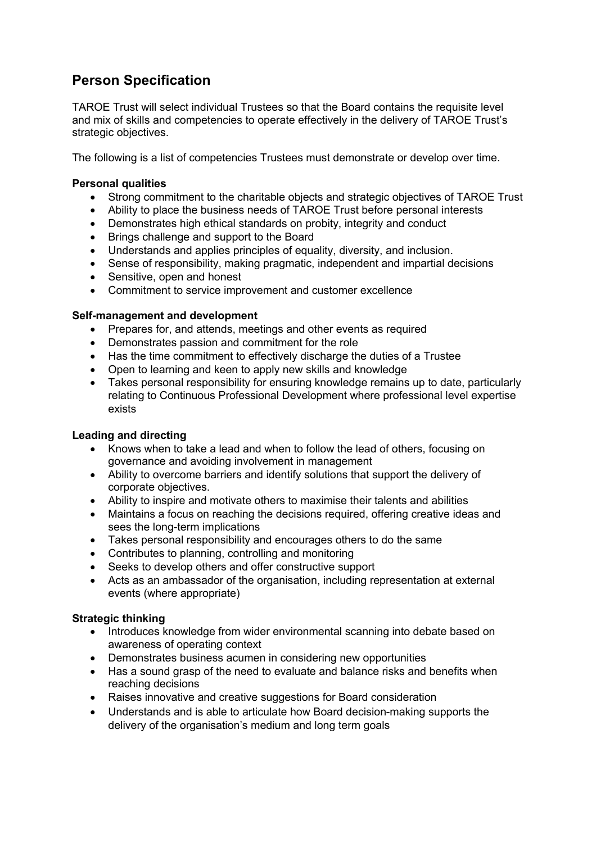## **Person Specification**

TAROE Trust will select individual Trustees so that the Board contains the requisite level and mix of skills and competencies to operate effectively in the delivery of TAROE Trust's strategic objectives.

The following is a list of competencies Trustees must demonstrate or develop over time.

#### **Personal qualities**

- Strong commitment to the charitable objects and strategic objectives of TAROE Trust
- Ability to place the business needs of TAROE Trust before personal interests
- Demonstrates high ethical standards on probity, integrity and conduct
- Brings challenge and support to the Board
- Understands and applies principles of equality, diversity, and inclusion.
- Sense of responsibility, making pragmatic, independent and impartial decisions
- Sensitive, open and honest
- Commitment to service improvement and customer excellence

#### **Self-management and development**

- Prepares for, and attends, meetings and other events as required
- Demonstrates passion and commitment for the role
- Has the time commitment to effectively discharge the duties of a Trustee
- Open to learning and keen to apply new skills and knowledge
- Takes personal responsibility for ensuring knowledge remains up to date, particularly relating to Continuous Professional Development where professional level expertise exists

#### **Leading and directing**

- Knows when to take a lead and when to follow the lead of others, focusing on governance and avoiding involvement in management
- Ability to overcome barriers and identify solutions that support the delivery of corporate objectives.
- Ability to inspire and motivate others to maximise their talents and abilities
- Maintains a focus on reaching the decisions required, offering creative ideas and sees the long-term implications
- Takes personal responsibility and encourages others to do the same
- Contributes to planning, controlling and monitoring
- Seeks to develop others and offer constructive support
- Acts as an ambassador of the organisation, including representation at external events (where appropriate)

#### **Strategic thinking**

- Introduces knowledge from wider environmental scanning into debate based on awareness of operating context
- Demonstrates business acumen in considering new opportunities
- Has a sound grasp of the need to evaluate and balance risks and benefits when reaching decisions
- Raises innovative and creative suggestions for Board consideration
- Understands and is able to articulate how Board decision-making supports the delivery of the organisation's medium and long term goals